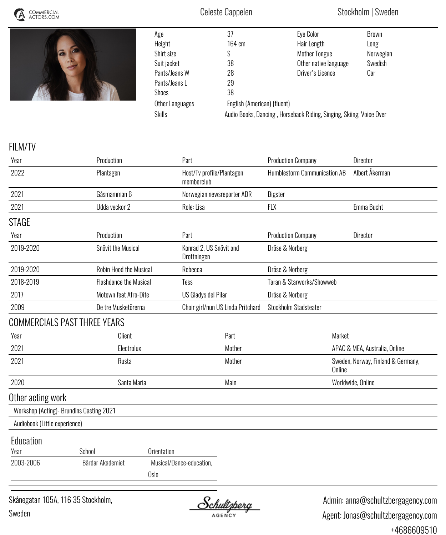



| Age             | 37                                                                  | Eye Color             | Brown     |  |  |
|-----------------|---------------------------------------------------------------------|-----------------------|-----------|--|--|
| Height          | 164 cm                                                              | Hair Length           | Long      |  |  |
| Shirt size      | S                                                                   | <b>Mother Tongue</b>  | Norwegian |  |  |
| Suit jacket     | 38                                                                  | Other native language | Swedish   |  |  |
| Pants/Jeans W   | 28                                                                  | Driver's Licence      | Car       |  |  |
| Pants/Jeans L   | 29                                                                  |                       |           |  |  |
| <b>Shoes</b>    | 38                                                                  |                       |           |  |  |
| Other Languages | English (American) (fluent)                                         |                       |           |  |  |
| <b>Skills</b>   | Audio Books, Dancing, Horseback Riding, Singing, Skiing, Voice Over |                       |           |  |  |
|                 |                                                                     |                       |           |  |  |

## *FILM/TV*

| Production                                |                    | Part                                                       |                          | <b>Production Company</b>                                                                                 |        | <b>Director</b>                                                  |
|-------------------------------------------|--------------------|------------------------------------------------------------|--------------------------|-----------------------------------------------------------------------------------------------------------|--------|------------------------------------------------------------------|
| Plantagen                                 |                    | memberclub                                                 |                          |                                                                                                           |        | Albert Åkerman                                                   |
| Gåsmamman 6                               |                    |                                                            |                          | Bigster                                                                                                   |        |                                                                  |
| Udda veckor 2                             |                    | Role: Lisa                                                 |                          | <b>FLX</b>                                                                                                |        | Emma Bucht                                                       |
|                                           |                    |                                                            |                          |                                                                                                           |        |                                                                  |
| Production                                |                    | Part                                                       |                          | <b>Production Company</b>                                                                                 |        | Director                                                         |
| Snövit the Musical                        |                    | Drottningen                                                |                          | Dröse & Norberg                                                                                           |        |                                                                  |
|                                           |                    | Rebecca                                                    |                          | Dröse & Norberg                                                                                           |        |                                                                  |
| <b>Flashdance the Musical</b>             |                    | Tess                                                       |                          |                                                                                                           |        |                                                                  |
|                                           |                    |                                                            |                          | Dröse & Norberg                                                                                           |        |                                                                  |
| De tre Musketörerna                       |                    | Stockholm Stadsteater<br>Choir girl/nun US Linda Pritchard |                          |                                                                                                           |        |                                                                  |
| <b>COMMERCIALS PAST THREE YEARS</b>       |                    |                                                            |                          |                                                                                                           |        |                                                                  |
| <b>Client</b>                             |                    | Part                                                       |                          |                                                                                                           | Market |                                                                  |
| Electrolux                                |                    | Mother                                                     |                          | APAC & MEA, Australia, Online                                                                             |        |                                                                  |
| Rusta                                     |                    | Mother                                                     |                          | Sweden, Norway, Finland & Germany,<br>Online                                                              |        |                                                                  |
| Santa Maria                               |                    |                                                            | Main                     |                                                                                                           |        | Worldwide, Online                                                |
|                                           |                    |                                                            |                          |                                                                                                           |        |                                                                  |
| Workshop (Acting) - Brundins Casting 2021 |                    |                                                            |                          |                                                                                                           |        |                                                                  |
| Audiobook (Little experience)             |                    |                                                            |                          |                                                                                                           |        |                                                                  |
|                                           |                    |                                                            |                          |                                                                                                           |        |                                                                  |
| School                                    | <b>Orientation</b> |                                                            |                          |                                                                                                           |        |                                                                  |
| Bårdar Akademiet                          |                    |                                                            |                          |                                                                                                           |        |                                                                  |
|                                           | Oslo               |                                                            |                          |                                                                                                           |        |                                                                  |
|                                           |                    | Robin Hood the Musical<br>Motown feat Afro-Dite            | Musical/Dance-education, | Host/Tv profile/Plantagen<br>Norwegian newsreporter ADR<br>Konrad 2, US Snövit and<br>US Gladys del Pilar |        | <b>Humblestorm Communication AB</b><br>Taran & Starworks/Showweb |

*Skånegatan 105A, 116 35 Stockholm, Sweden*

<u>Schultzberg</u>

 *Admin: anna@schultzbergagency.com Agent: Jonas@schultzbergagency.com +4686609510*